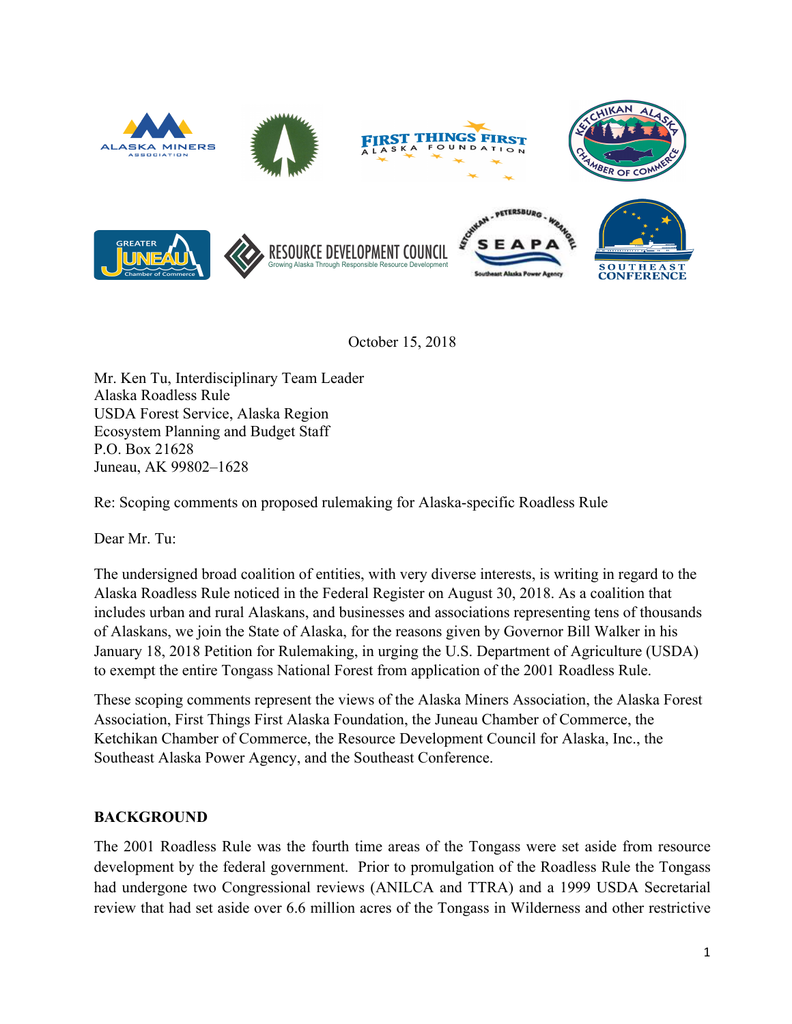

October 15, 2018

Mr. Ken Tu, Interdisciplinary Team Leader Alaska Roadless Rule USDA Forest Service, Alaska Region Ecosystem Planning and Budget Staff P.O. Box 21628 Juneau, AK 99802–1628

Re: Scoping comments on proposed rulemaking for Alaska-specific Roadless Rule

Dear Mr. Tu:

The undersigned broad coalition of entities, with very diverse interests, is writing in regard to the Alaska Roadless Rule noticed in the Federal Register on August 30, 2018. As a coalition that includes urban and rural Alaskans, and businesses and associations representing tens of thousands of Alaskans, we join the State of Alaska, for the reasons given by Governor Bill Walker in his January 18, 2018 Petition for Rulemaking, in urging the U.S. Department of Agriculture (USDA) to exempt the entire Tongass National Forest from application of the 2001 Roadless Rule.

These scoping comments represent the views of the Alaska Miners Association, the Alaska Forest Association, First Things First Alaska Foundation, the Juneau Chamber of Commerce, the Ketchikan Chamber of Commerce, the Resource Development Council for Alaska, Inc., the Southeast Alaska Power Agency, and the Southeast Conference.

# **BACKGROUND**

The 2001 Roadless Rule was the fourth time areas of the Tongass were set aside from resource development by the federal government. Prior to promulgation of the Roadless Rule the Tongass had undergone two Congressional reviews (ANILCA and TTRA) and a 1999 USDA Secretarial review that had set aside over 6.6 million acres of the Tongass in Wilderness and other restrictive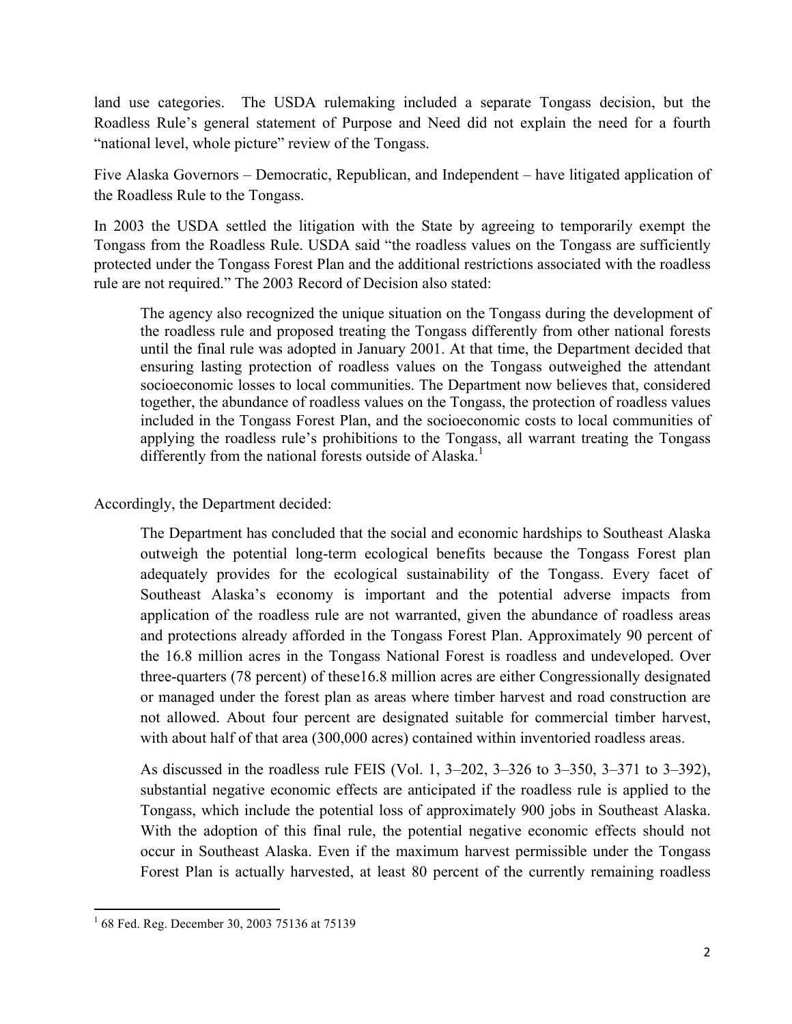land use categories. The USDA rulemaking included a separate Tongass decision, but the Roadless Rule's general statement of Purpose and Need did not explain the need for a fourth "national level, whole picture" review of the Tongass.

Five Alaska Governors – Democratic, Republican, and Independent – have litigated application of the Roadless Rule to the Tongass.

In 2003 the USDA settled the litigation with the State by agreeing to temporarily exempt the Tongass from the Roadless Rule. USDA said "the roadless values on the Tongass are sufficiently protected under the Tongass Forest Plan and the additional restrictions associated with the roadless rule are not required." The 2003 Record of Decision also stated:

The agency also recognized the unique situation on the Tongass during the development of the roadless rule and proposed treating the Tongass differently from other national forests until the final rule was adopted in January 2001. At that time, the Department decided that ensuring lasting protection of roadless values on the Tongass outweighed the attendant socioeconomic losses to local communities. The Department now believes that, considered together, the abundance of roadless values on the Tongass, the protection of roadless values included in the Tongass Forest Plan, and the socioeconomic costs to local communities of applying the roadless rule's prohibitions to the Tongass, all warrant treating the Tongass differently from the national forests outside of Alaska.<sup>1</sup>

#### Accordingly, the Department decided:

The Department has concluded that the social and economic hardships to Southeast Alaska outweigh the potential long-term ecological benefits because the Tongass Forest plan adequately provides for the ecological sustainability of the Tongass. Every facet of Southeast Alaska's economy is important and the potential adverse impacts from application of the roadless rule are not warranted, given the abundance of roadless areas and protections already afforded in the Tongass Forest Plan. Approximately 90 percent of the 16.8 million acres in the Tongass National Forest is roadless and undeveloped. Over three-quarters (78 percent) of these16.8 million acres are either Congressionally designated or managed under the forest plan as areas where timber harvest and road construction are not allowed. About four percent are designated suitable for commercial timber harvest, with about half of that area (300,000 acres) contained within inventoried roadless areas.

As discussed in the roadless rule FEIS (Vol. 1, 3–202, 3–326 to 3–350, 3–371 to 3–392), substantial negative economic effects are anticipated if the roadless rule is applied to the Tongass, which include the potential loss of approximately 900 jobs in Southeast Alaska. With the adoption of this final rule, the potential negative economic effects should not occur in Southeast Alaska. Even if the maximum harvest permissible under the Tongass Forest Plan is actually harvested, at least 80 percent of the currently remaining roadless

 $1/1$  68 Fed. Reg. December 30, 2003 75136 at 75139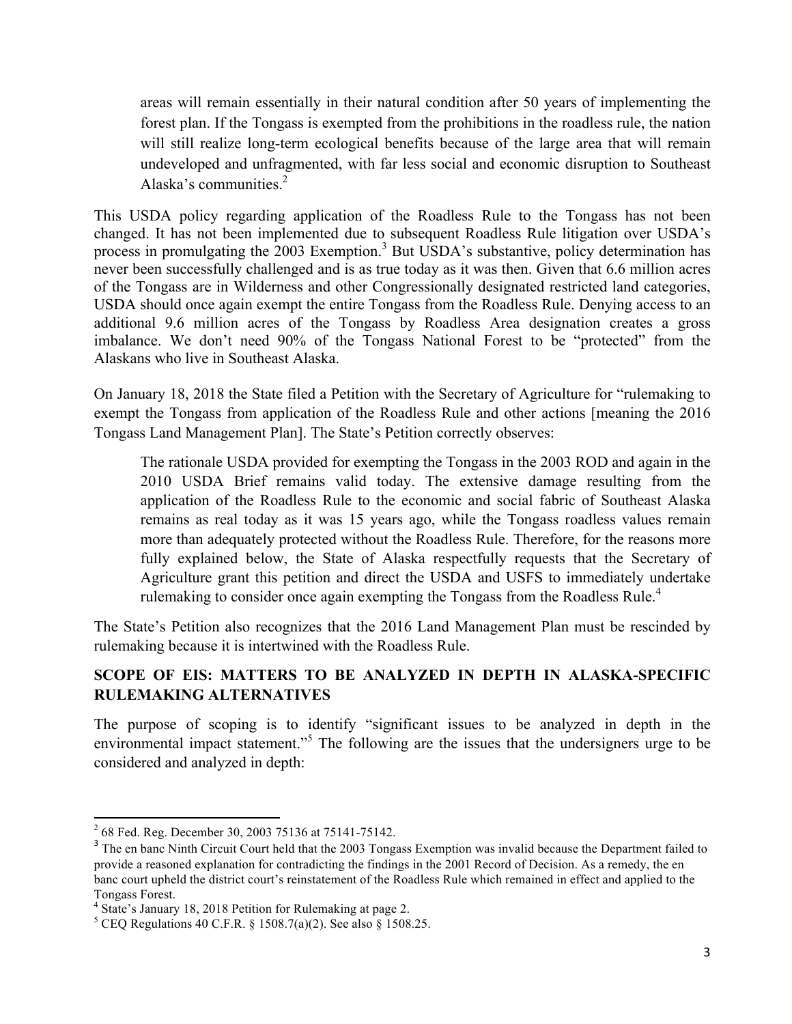areas will remain essentially in their natural condition after 50 years of implementing the forest plan. If the Tongass is exempted from the prohibitions in the roadless rule, the nation will still realize long-term ecological benefits because of the large area that will remain undeveloped and unfragmented, with far less social and economic disruption to Southeast Alaska's communities. $<sup>2</sup>$ </sup>

This USDA policy regarding application of the Roadless Rule to the Tongass has not been changed. It has not been implemented due to subsequent Roadless Rule litigation over USDA's process in promulgating the 2003 Exemption.<sup>3</sup> But USDA's substantive, policy determination has never been successfully challenged and is as true today as it was then. Given that 6.6 million acres of the Tongass are in Wilderness and other Congressionally designated restricted land categories, USDA should once again exempt the entire Tongass from the Roadless Rule. Denying access to an additional 9.6 million acres of the Tongass by Roadless Area designation creates a gross imbalance. We don't need 90% of the Tongass National Forest to be "protected" from the Alaskans who live in Southeast Alaska.

On January 18, 2018 the State filed a Petition with the Secretary of Agriculture for "rulemaking to exempt the Tongass from application of the Roadless Rule and other actions [meaning the 2016 Tongass Land Management Plan]. The State's Petition correctly observes:

The rationale USDA provided for exempting the Tongass in the 2003 ROD and again in the 2010 USDA Brief remains valid today. The extensive damage resulting from the application of the Roadless Rule to the economic and social fabric of Southeast Alaska remains as real today as it was 15 years ago, while the Tongass roadless values remain more than adequately protected without the Roadless Rule. Therefore, for the reasons more fully explained below, the State of Alaska respectfully requests that the Secretary of Agriculture grant this petition and direct the USDA and USFS to immediately undertake rulemaking to consider once again exempting the Tongass from the Roadless Rule.<sup>4</sup>

The State's Petition also recognizes that the 2016 Land Management Plan must be rescinded by rulemaking because it is intertwined with the Roadless Rule.

## **SCOPE OF EIS: MATTERS TO BE ANALYZED IN DEPTH IN ALASKA-SPECIFIC RULEMAKING ALTERNATIVES**

The purpose of scoping is to identify "significant issues to be analyzed in depth in the environmental impact statement.<sup>55</sup> The following are the issues that the undersigners urge to be considered and analyzed in depth:

<sup>&</sup>lt;sup>2</sup> 68 Fed. Reg. December 30, 2003 75136 at 75141-75142.

<sup>&</sup>lt;sup>3</sup> The en banc Ninth Circuit Court held that the 2003 Tongass Exemption was invalid because the Department failed to provide a reasoned explanation for contradicting the findings in the 2001 Record of Decision. As a remedy, the en banc court upheld the district court's reinstatement of the Roadless Rule which remained in effect and applied to the Tongass Forest.

<sup>4</sup> State's January 18, 2018 Petition for Rulemaking at page 2.

<sup>&</sup>lt;sup>5</sup> CEQ Regulations 40 C.F.R. § 1508.7(a)(2). See also § 1508.25.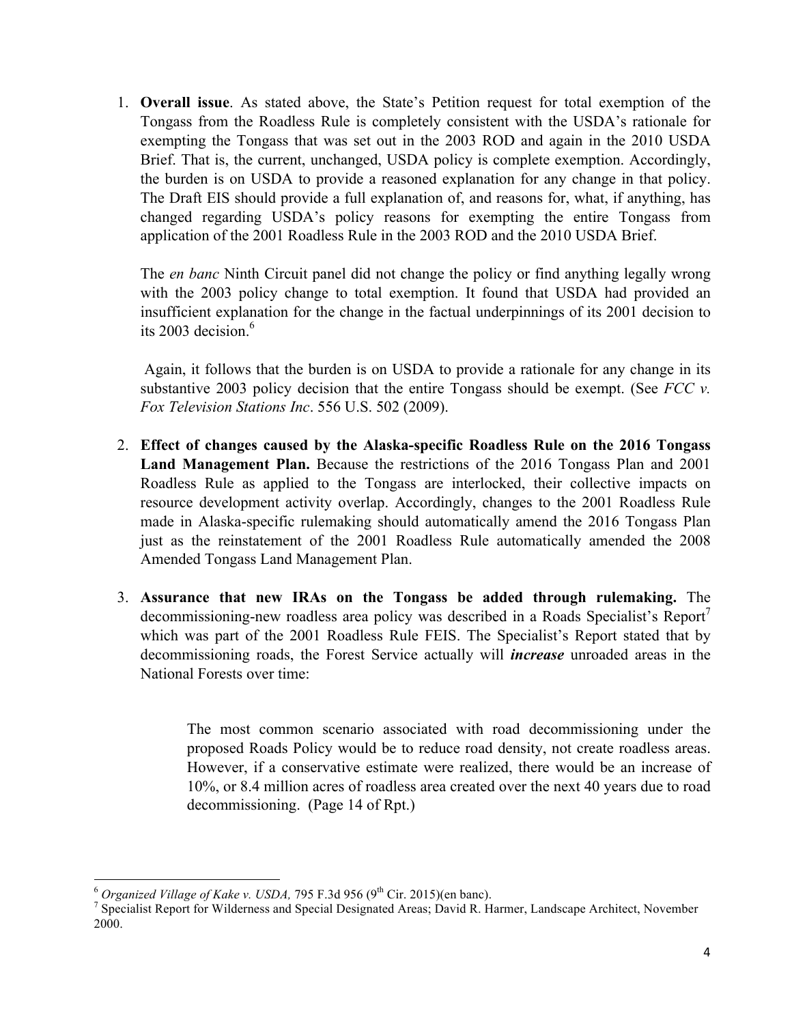1. **Overall issue**. As stated above, the State's Petition request for total exemption of the Tongass from the Roadless Rule is completely consistent with the USDA's rationale for exempting the Tongass that was set out in the 2003 ROD and again in the 2010 USDA Brief. That is, the current, unchanged, USDA policy is complete exemption. Accordingly, the burden is on USDA to provide a reasoned explanation for any change in that policy. The Draft EIS should provide a full explanation of, and reasons for, what, if anything, has changed regarding USDA's policy reasons for exempting the entire Tongass from application of the 2001 Roadless Rule in the 2003 ROD and the 2010 USDA Brief.

The *en banc* Ninth Circuit panel did not change the policy or find anything legally wrong with the 2003 policy change to total exemption. It found that USDA had provided an insufficient explanation for the change in the factual underpinnings of its 2001 decision to its 2003 decision. 6

Again, it follows that the burden is on USDA to provide a rationale for any change in its substantive 2003 policy decision that the entire Tongass should be exempt. (See *FCC v. Fox Television Stations Inc*. 556 U.S. 502 (2009).

- 2. **Effect of changes caused by the Alaska-specific Roadless Rule on the 2016 Tongass Land Management Plan.** Because the restrictions of the 2016 Tongass Plan and 2001 Roadless Rule as applied to the Tongass are interlocked, their collective impacts on resource development activity overlap. Accordingly, changes to the 2001 Roadless Rule made in Alaska-specific rulemaking should automatically amend the 2016 Tongass Plan just as the reinstatement of the 2001 Roadless Rule automatically amended the 2008 Amended Tongass Land Management Plan.
- 3. **Assurance that new IRAs on the Tongass be added through rulemaking.** The decommissioning-new roadless area policy was described in a Roads Specialist's Report which was part of the 2001 Roadless Rule FEIS. The Specialist's Report stated that by decommissioning roads, the Forest Service actually will *increase* unroaded areas in the National Forests over time:

The most common scenario associated with road decommissioning under the proposed Roads Policy would be to reduce road density, not create roadless areas. However, if a conservative estimate were realized, there would be an increase of 10%, or 8.4 million acres of roadless area created over the next 40 years due to road decommissioning. (Page 14 of Rpt.)

<sup>&</sup>lt;sup>6</sup> *Organized Village of Kake v. USDA, 795* F.3d 956 (9<sup>th</sup> Cir. 2015)(en banc).<br><sup>7</sup> Specialist Report for Wilderness and Special Designated Areas; David R. Harmer, Landscape Architect, November 2000.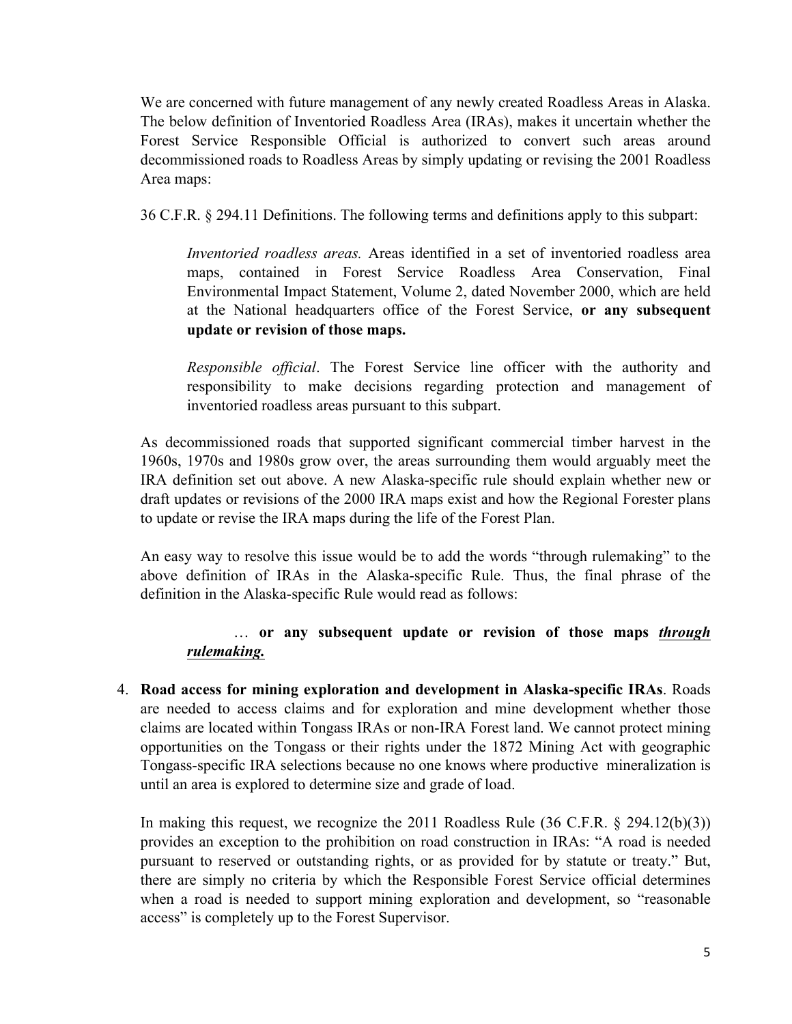We are concerned with future management of any newly created Roadless Areas in Alaska. The below definition of Inventoried Roadless Area (IRAs), makes it uncertain whether the Forest Service Responsible Official is authorized to convert such areas around decommissioned roads to Roadless Areas by simply updating or revising the 2001 Roadless Area maps:

36 C.F.R. § 294.11 Definitions. The following terms and definitions apply to this subpart:

*Inventoried roadless areas.* Areas identified in a set of inventoried roadless area maps, contained in Forest Service Roadless Area Conservation, Final Environmental Impact Statement, Volume 2, dated November 2000, which are held at the National headquarters office of the Forest Service, **or any subsequent update or revision of those maps.** 

*Responsible official*. The Forest Service line officer with the authority and responsibility to make decisions regarding protection and management of inventoried roadless areas pursuant to this subpart.

As decommissioned roads that supported significant commercial timber harvest in the 1960s, 1970s and 1980s grow over, the areas surrounding them would arguably meet the IRA definition set out above. A new Alaska-specific rule should explain whether new or draft updates or revisions of the 2000 IRA maps exist and how the Regional Forester plans to update or revise the IRA maps during the life of the Forest Plan.

An easy way to resolve this issue would be to add the words "through rulemaking" to the above definition of IRAs in the Alaska-specific Rule. Thus, the final phrase of the definition in the Alaska-specific Rule would read as follows:

## … **or any subsequent update or revision of those maps** *through rulemaking.*

4. **Road access for mining exploration and development in Alaska-specific IRAs**. Roads are needed to access claims and for exploration and mine development whether those claims are located within Tongass IRAs or non-IRA Forest land. We cannot protect mining opportunities on the Tongass or their rights under the 1872 Mining Act with geographic Tongass-specific IRA selections because no one knows where productive mineralization is until an area is explored to determine size and grade of load.

In making this request, we recognize the 2011 Roadless Rule (36 C.F.R. § 294.12(b)(3)) provides an exception to the prohibition on road construction in IRAs: "A road is needed pursuant to reserved or outstanding rights, or as provided for by statute or treaty." But, there are simply no criteria by which the Responsible Forest Service official determines when a road is needed to support mining exploration and development, so "reasonable access" is completely up to the Forest Supervisor.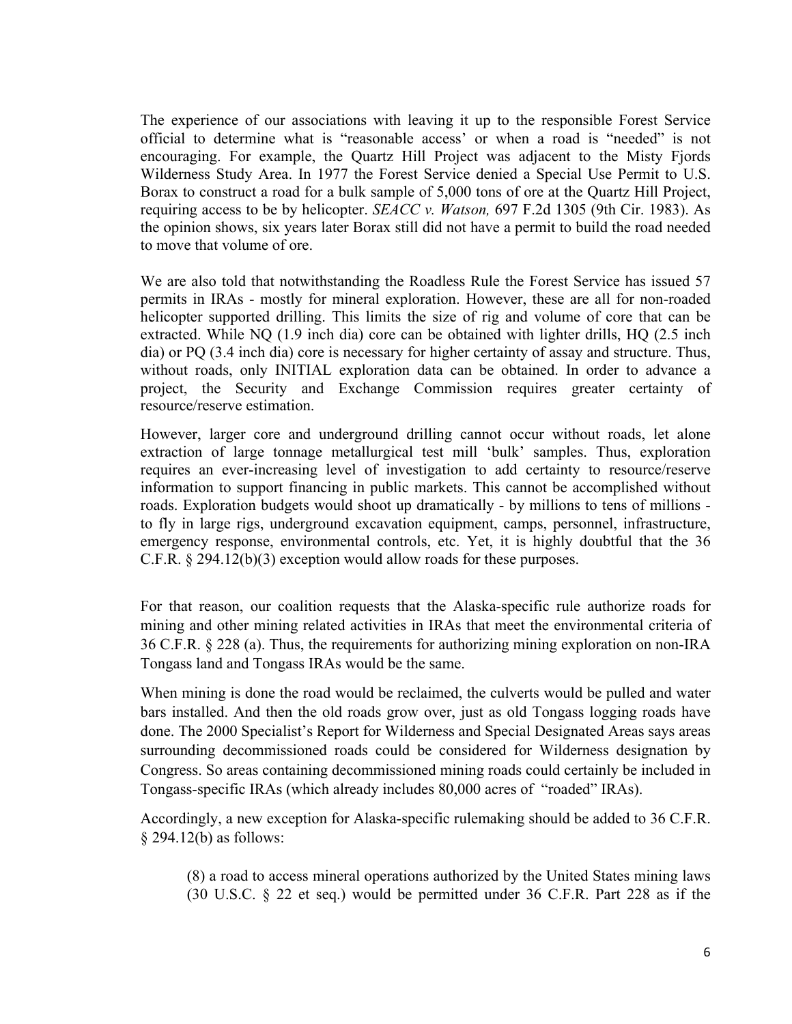The experience of our associations with leaving it up to the responsible Forest Service official to determine what is "reasonable access' or when a road is "needed" is not encouraging. For example, the Quartz Hill Project was adjacent to the Misty Fjords Wilderness Study Area. In 1977 the Forest Service denied a Special Use Permit to U.S. Borax to construct a road for a bulk sample of 5,000 tons of ore at the Quartz Hill Project, requiring access to be by helicopter. *SEACC v. Watson,* 697 F.2d 1305 (9th Cir. 1983). As the opinion shows, six years later Borax still did not have a permit to build the road needed to move that volume of ore.

We are also told that notwithstanding the Roadless Rule the Forest Service has issued 57 permits in IRAs - mostly for mineral exploration. However, these are all for non-roaded helicopter supported drilling. This limits the size of rig and volume of core that can be extracted. While NQ (1.9 inch dia) core can be obtained with lighter drills, HQ (2.5 inch dia) or PQ (3.4 inch dia) core is necessary for higher certainty of assay and structure. Thus, without roads, only INITIAL exploration data can be obtained. In order to advance a project, the Security and Exchange Commission requires greater certainty of resource/reserve estimation.

However, larger core and underground drilling cannot occur without roads, let alone extraction of large tonnage metallurgical test mill 'bulk' samples. Thus, exploration requires an ever-increasing level of investigation to add certainty to resource/reserve information to support financing in public markets. This cannot be accomplished without roads. Exploration budgets would shoot up dramatically - by millions to tens of millions to fly in large rigs, underground excavation equipment, camps, personnel, infrastructure, emergency response, environmental controls, etc. Yet, it is highly doubtful that the 36 C.F.R. § 294.12(b)(3) exception would allow roads for these purposes.

For that reason, our coalition requests that the Alaska-specific rule authorize roads for mining and other mining related activities in IRAs that meet the environmental criteria of 36 C.F.R. § 228 (a). Thus, the requirements for authorizing mining exploration on non-IRA Tongass land and Tongass IRAs would be the same.

When mining is done the road would be reclaimed, the culverts would be pulled and water bars installed. And then the old roads grow over, just as old Tongass logging roads have done. The 2000 Specialist's Report for Wilderness and Special Designated Areas says areas surrounding decommissioned roads could be considered for Wilderness designation by Congress. So areas containing decommissioned mining roads could certainly be included in Tongass-specific IRAs (which already includes 80,000 acres of "roaded" IRAs).

Accordingly, a new exception for Alaska-specific rulemaking should be added to 36 C.F.R. § 294.12(b) as follows:

(8) a road to access mineral operations authorized by the United States mining laws (30 U.S.C. § 22 et seq.) would be permitted under 36 C.F.R. Part 228 as if the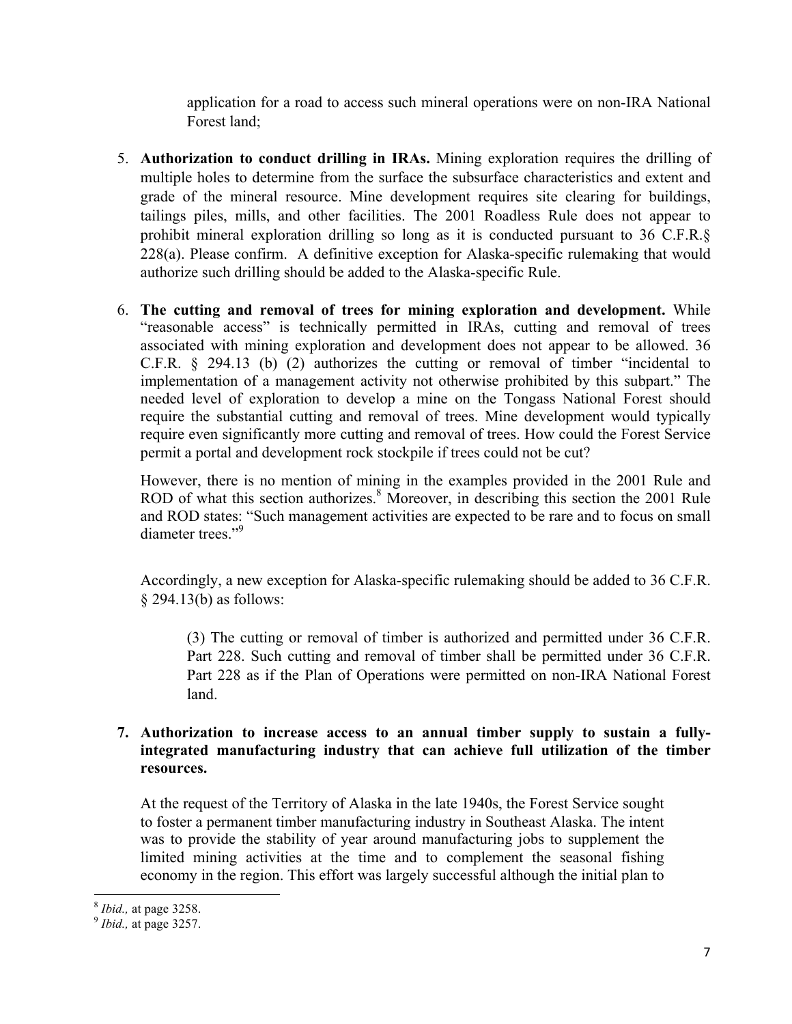application for a road to access such mineral operations were on non-IRA National Forest land;

- 5. **Authorization to conduct drilling in IRAs.** Mining exploration requires the drilling of multiple holes to determine from the surface the subsurface characteristics and extent and grade of the mineral resource. Mine development requires site clearing for buildings, tailings piles, mills, and other facilities. The 2001 Roadless Rule does not appear to prohibit mineral exploration drilling so long as it is conducted pursuant to 36 C.F.R.§ 228(a). Please confirm. A definitive exception for Alaska-specific rulemaking that would authorize such drilling should be added to the Alaska-specific Rule.
- 6. **The cutting and removal of trees for mining exploration and development.** While "reasonable access" is technically permitted in IRAs, cutting and removal of trees associated with mining exploration and development does not appear to be allowed. 36 C.F.R. § 294.13 (b) (2) authorizes the cutting or removal of timber "incidental to implementation of a management activity not otherwise prohibited by this subpart." The needed level of exploration to develop a mine on the Tongass National Forest should require the substantial cutting and removal of trees. Mine development would typically require even significantly more cutting and removal of trees. How could the Forest Service permit a portal and development rock stockpile if trees could not be cut?

However, there is no mention of mining in the examples provided in the 2001 Rule and ROD of what this section authorizes.<sup>8</sup> Moreover, in describing this section the 2001 Rule and ROD states: "Such management activities are expected to be rare and to focus on small diameter trees."9

Accordingly, a new exception for Alaska-specific rulemaking should be added to 36 C.F.R. § 294.13(b) as follows:

(3) The cutting or removal of timber is authorized and permitted under 36 C.F.R. Part 228. Such cutting and removal of timber shall be permitted under 36 C.F.R. Part 228 as if the Plan of Operations were permitted on non-IRA National Forest land.

## **7. Authorization to increase access to an annual timber supply to sustain a fullyintegrated manufacturing industry that can achieve full utilization of the timber resources.**

At the request of the Territory of Alaska in the late 1940s, the Forest Service sought to foster a permanent timber manufacturing industry in Southeast Alaska. The intent was to provide the stability of year around manufacturing jobs to supplement the limited mining activities at the time and to complement the seasonal fishing economy in the region. This effort was largely successful although the initial plan to

<sup>8</sup> *Ibid.,* at page 3258. 9 *Ibid.,* at page 3257.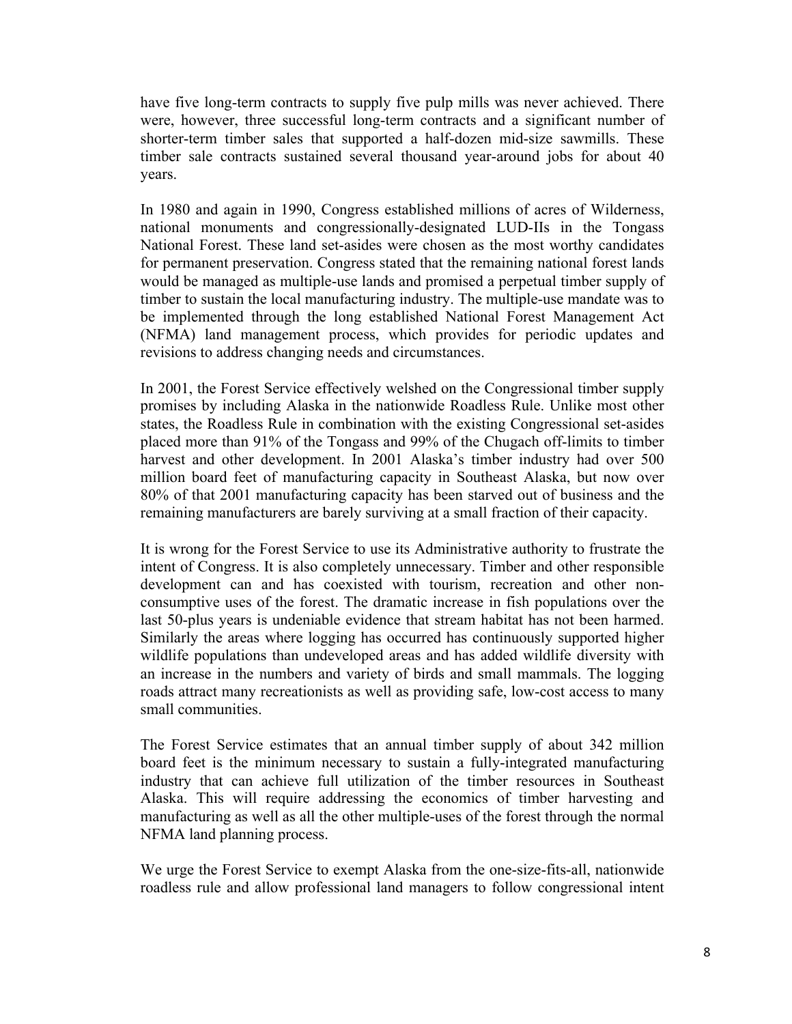have five long-term contracts to supply five pulp mills was never achieved. There were, however, three successful long-term contracts and a significant number of shorter-term timber sales that supported a half-dozen mid-size sawmills. These timber sale contracts sustained several thousand year-around jobs for about 40 years.

In 1980 and again in 1990, Congress established millions of acres of Wilderness, national monuments and congressionally-designated LUD-IIs in the Tongass National Forest. These land set-asides were chosen as the most worthy candidates for permanent preservation. Congress stated that the remaining national forest lands would be managed as multiple-use lands and promised a perpetual timber supply of timber to sustain the local manufacturing industry. The multiple-use mandate was to be implemented through the long established National Forest Management Act (NFMA) land management process, which provides for periodic updates and revisions to address changing needs and circumstances.

In 2001, the Forest Service effectively welshed on the Congressional timber supply promises by including Alaska in the nationwide Roadless Rule. Unlike most other states, the Roadless Rule in combination with the existing Congressional set-asides placed more than 91% of the Tongass and 99% of the Chugach off-limits to timber harvest and other development. In 2001 Alaska's timber industry had over 500 million board feet of manufacturing capacity in Southeast Alaska, but now over 80% of that 2001 manufacturing capacity has been starved out of business and the remaining manufacturers are barely surviving at a small fraction of their capacity.

It is wrong for the Forest Service to use its Administrative authority to frustrate the intent of Congress. It is also completely unnecessary. Timber and other responsible development can and has coexisted with tourism, recreation and other nonconsumptive uses of the forest. The dramatic increase in fish populations over the last 50-plus years is undeniable evidence that stream habitat has not been harmed. Similarly the areas where logging has occurred has continuously supported higher wildlife populations than undeveloped areas and has added wildlife diversity with an increase in the numbers and variety of birds and small mammals. The logging roads attract many recreationists as well as providing safe, low-cost access to many small communities.

The Forest Service estimates that an annual timber supply of about 342 million board feet is the minimum necessary to sustain a fully-integrated manufacturing industry that can achieve full utilization of the timber resources in Southeast Alaska. This will require addressing the economics of timber harvesting and manufacturing as well as all the other multiple-uses of the forest through the normal NFMA land planning process.

We urge the Forest Service to exempt Alaska from the one-size-fits-all, nationwide roadless rule and allow professional land managers to follow congressional intent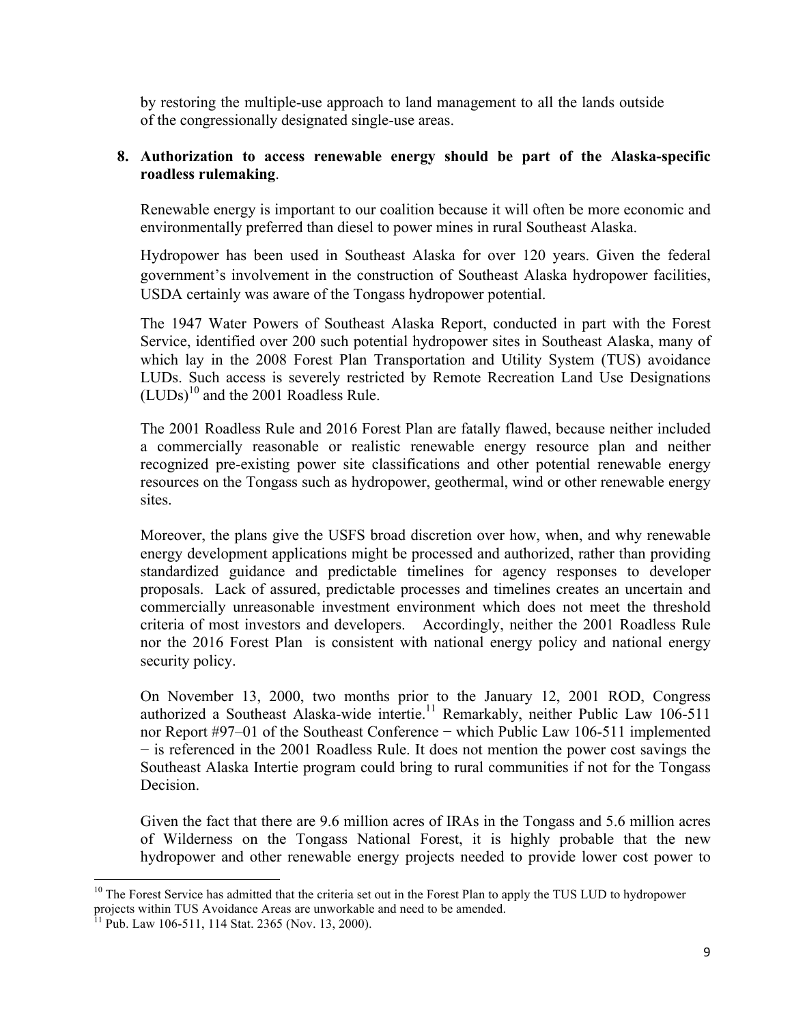by restoring the multiple-use approach to land management to all the lands outside of the congressionally designated single-use areas.

#### **8. Authorization to access renewable energy should be part of the Alaska-specific roadless rulemaking**.

Renewable energy is important to our coalition because it will often be more economic and environmentally preferred than diesel to power mines in rural Southeast Alaska.

Hydropower has been used in Southeast Alaska for over 120 years. Given the federal government's involvement in the construction of Southeast Alaska hydropower facilities, USDA certainly was aware of the Tongass hydropower potential.

The 1947 Water Powers of Southeast Alaska Report, conducted in part with the Forest Service, identified over 200 such potential hydropower sites in Southeast Alaska, many of which lay in the 2008 Forest Plan Transportation and Utility System (TUS) avoidance LUDs. Such access is severely restricted by Remote Recreation Land Use Designations  $(LUDs)^{10}$  and the 2001 Roadless Rule.

The 2001 Roadless Rule and 2016 Forest Plan are fatally flawed, because neither included a commercially reasonable or realistic renewable energy resource plan and neither recognized pre-existing power site classifications and other potential renewable energy resources on the Tongass such as hydropower, geothermal, wind or other renewable energy sites.

Moreover, the plans give the USFS broad discretion over how, when, and why renewable energy development applications might be processed and authorized, rather than providing standardized guidance and predictable timelines for agency responses to developer proposals. Lack of assured, predictable processes and timelines creates an uncertain and commercially unreasonable investment environment which does not meet the threshold criteria of most investors and developers. Accordingly, neither the 2001 Roadless Rule nor the 2016 Forest Plan is consistent with national energy policy and national energy security policy.

On November 13, 2000, two months prior to the January 12, 2001 ROD, Congress authorized a Southeast Alaska-wide intertie.<sup>11</sup> Remarkably, neither Public Law 106-511 nor Report #97–01 of the Southeast Conference − which Public Law 106-511 implemented − is referenced in the 2001 Roadless Rule. It does not mention the power cost savings the Southeast Alaska Intertie program could bring to rural communities if not for the Tongass **Decision** 

Given the fact that there are 9.6 million acres of IRAs in the Tongass and 5.6 million acres of Wilderness on the Tongass National Forest, it is highly probable that the new hydropower and other renewable energy projects needed to provide lower cost power to

<sup>&</sup>lt;u> 1989 - Jan Samuel Barbara, margaret e</u>  $10$  The Forest Service has admitted that the criteria set out in the Forest Plan to apply the TUS LUD to hydropower projects within TUS Avoidance Areas are unworkable and need to be amended.

 $11$  Pub. Law 106-511, 114 Stat. 2365 (Nov. 13, 2000).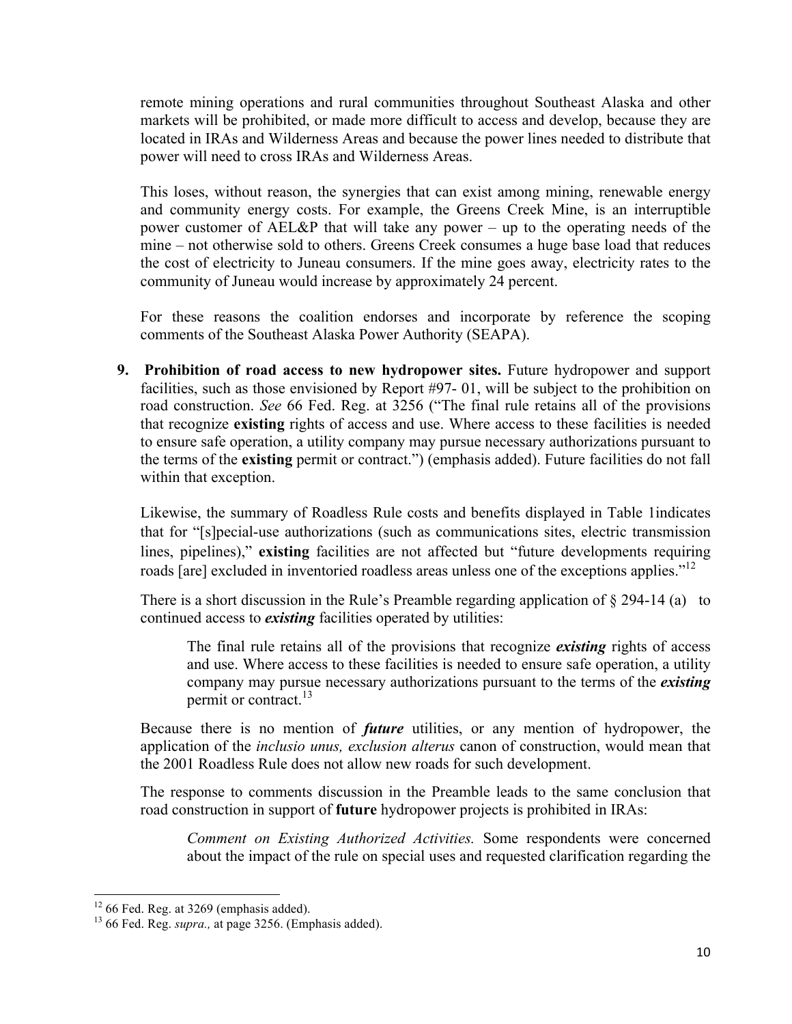remote mining operations and rural communities throughout Southeast Alaska and other markets will be prohibited, or made more difficult to access and develop, because they are located in IRAs and Wilderness Areas and because the power lines needed to distribute that power will need to cross IRAs and Wilderness Areas.

This loses, without reason, the synergies that can exist among mining, renewable energy and community energy costs. For example, the Greens Creek Mine, is an interruptible power customer of AEL&P that will take any power – up to the operating needs of the mine – not otherwise sold to others. Greens Creek consumes a huge base load that reduces the cost of electricity to Juneau consumers. If the mine goes away, electricity rates to the community of Juneau would increase by approximately 24 percent.

For these reasons the coalition endorses and incorporate by reference the scoping comments of the Southeast Alaska Power Authority (SEAPA).

**9. Prohibition of road access to new hydropower sites.** Future hydropower and support facilities, such as those envisioned by Report #97- 01, will be subject to the prohibition on road construction. *See* 66 Fed. Reg. at 3256 ("The final rule retains all of the provisions that recognize **existing** rights of access and use. Where access to these facilities is needed to ensure safe operation, a utility company may pursue necessary authorizations pursuant to the terms of the **existing** permit or contract.") (emphasis added). Future facilities do not fall within that exception.

Likewise, the summary of Roadless Rule costs and benefits displayed in Table 1indicates that for "[s]pecial-use authorizations (such as communications sites, electric transmission lines, pipelines)," **existing** facilities are not affected but "future developments requiring roads [are] excluded in inventoried roadless areas unless one of the exceptions applies."<sup>12</sup>

There is a short discussion in the Rule's Preamble regarding application of  $\S$  294-14 (a) to continued access to *existing* facilities operated by utilities:

The final rule retains all of the provisions that recognize *existing* rights of access and use. Where access to these facilities is needed to ensure safe operation, a utility company may pursue necessary authorizations pursuant to the terms of the *existing* permit or contract.<sup>13</sup>

Because there is no mention of *future* utilities, or any mention of hydropower, the application of the *inclusio unus, exclusion alterus* canon of construction, would mean that the 2001 Roadless Rule does not allow new roads for such development.

The response to comments discussion in the Preamble leads to the same conclusion that road construction in support of **future** hydropower projects is prohibited in IRAs:

*Comment on Existing Authorized Activities.* Some respondents were concerned about the impact of the rule on special uses and requested clarification regarding the

 $12$  66 Fed. Reg. at 3269 (emphasis added).

<sup>&</sup>lt;sup>13</sup> 66 Fed. Reg. *supra.*, at page 3256. (Emphasis added).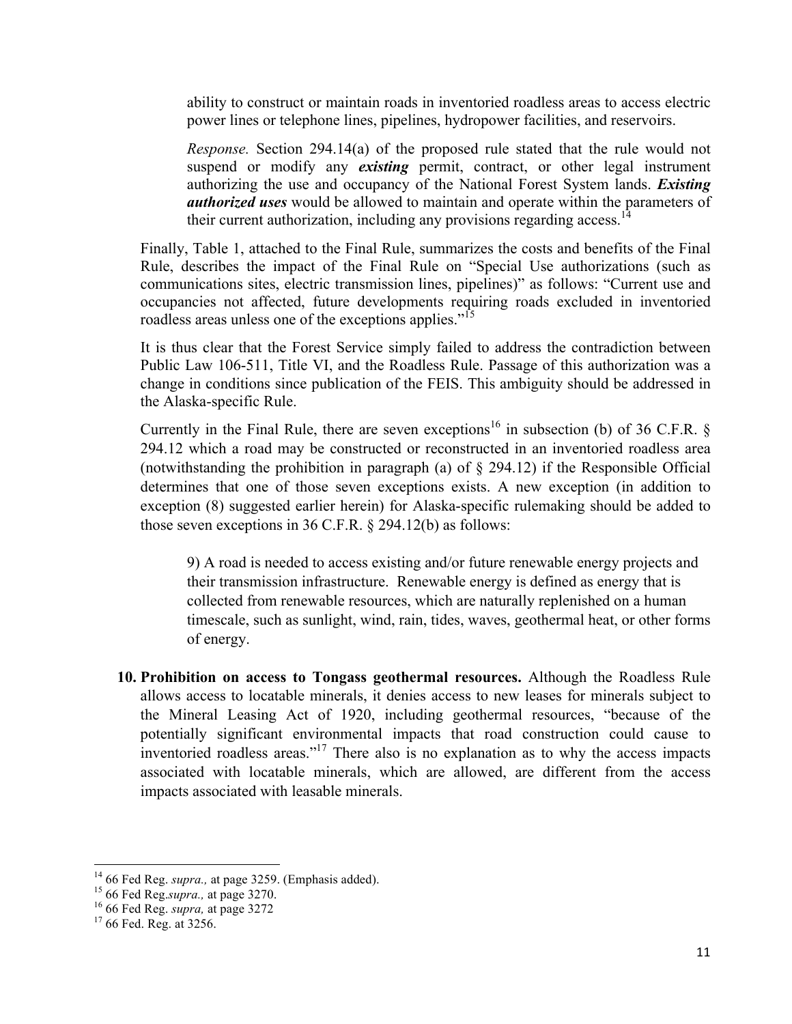ability to construct or maintain roads in inventoried roadless areas to access electric power lines or telephone lines, pipelines, hydropower facilities, and reservoirs.

*Response.* Section 294.14(a) of the proposed rule stated that the rule would not suspend or modify any *existing* permit, contract, or other legal instrument authorizing the use and occupancy of the National Forest System lands. *Existing authorized uses* would be allowed to maintain and operate within the parameters of their current authorization, including any provisions regarding access.<sup>14</sup>

Finally, Table 1, attached to the Final Rule, summarizes the costs and benefits of the Final Rule, describes the impact of the Final Rule on "Special Use authorizations (such as communications sites, electric transmission lines, pipelines)" as follows: "Current use and occupancies not affected, future developments requiring roads excluded in inventoried roadless areas unless one of the exceptions applies."<sup>15</sup>

It is thus clear that the Forest Service simply failed to address the contradiction between Public Law 106-511, Title VI, and the Roadless Rule. Passage of this authorization was a change in conditions since publication of the FEIS. This ambiguity should be addressed in the Alaska-specific Rule.

Currently in the Final Rule, there are seven exceptions<sup>16</sup> in subsection (b) of 36 C.F.R. § 294.12 which a road may be constructed or reconstructed in an inventoried roadless area (notwithstanding the prohibition in paragraph (a) of § 294.12) if the Responsible Official determines that one of those seven exceptions exists. A new exception (in addition to exception (8) suggested earlier herein) for Alaska-specific rulemaking should be added to those seven exceptions in 36 C.F.R. § 294.12(b) as follows:

9) A road is needed to access existing and/or future renewable energy projects and their transmission infrastructure. Renewable energy is defined as energy that is collected from renewable resources, which are naturally replenished on a human timescale, such as sunlight, wind, rain, tides, waves, geothermal heat, or other forms of energy.

**10. Prohibition on access to Tongass geothermal resources.** Although the Roadless Rule allows access to locatable minerals, it denies access to new leases for minerals subject to the Mineral Leasing Act of 1920, including geothermal resources, "because of the potentially significant environmental impacts that road construction could cause to inventoried roadless areas."17 There also is no explanation as to why the access impacts associated with locatable minerals, which are allowed, are different from the access impacts associated with leasable minerals.

 

<sup>&</sup>lt;sup>14</sup> 66 Fed Reg. *supra.*, at page 3259. (Emphasis added).<br><sup>15</sup> 66 Fed Reg. *supra.*, at page 3270.<br><sup>16</sup> 66 Fed Reg. *supra*, at page 3272<br><sup>17</sup> 66 Fed. Reg. at 3256.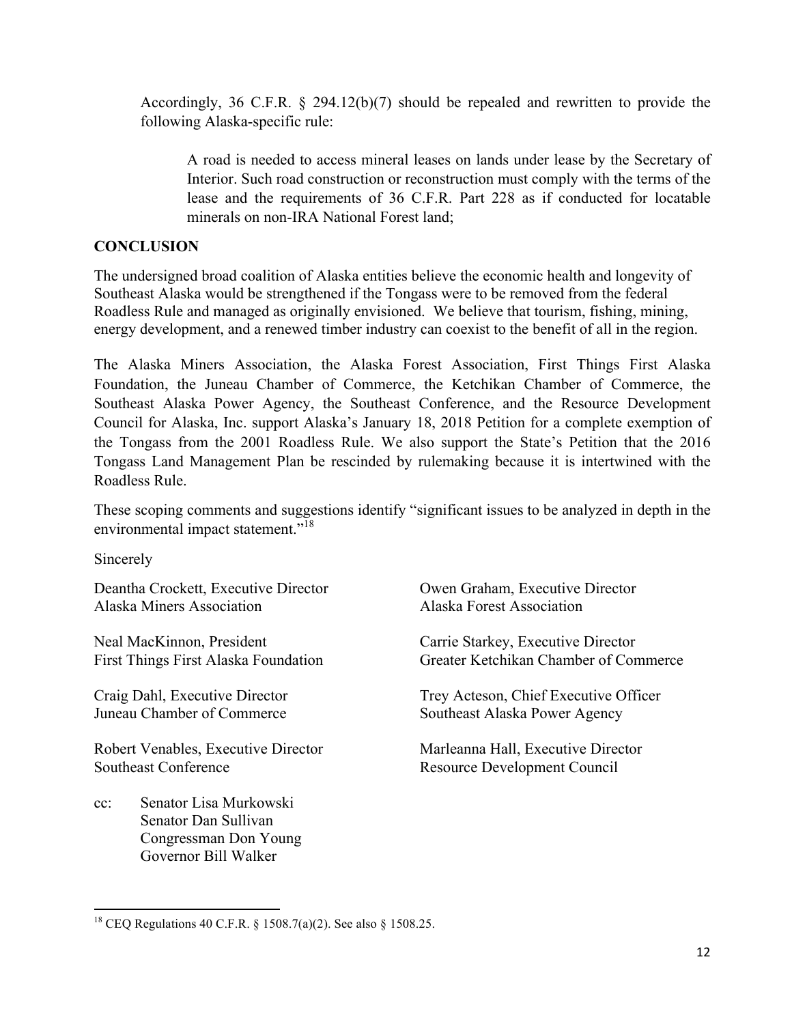Accordingly, 36 C.F.R. § 294.12(b)(7) should be repealed and rewritten to provide the following Alaska-specific rule:

A road is needed to access mineral leases on lands under lease by the Secretary of Interior. Such road construction or reconstruction must comply with the terms of the lease and the requirements of 36 C.F.R. Part 228 as if conducted for locatable minerals on non-IRA National Forest land;

### **CONCLUSION**

The undersigned broad coalition of Alaska entities believe the economic health and longevity of Southeast Alaska would be strengthened if the Tongass were to be removed from the federal Roadless Rule and managed as originally envisioned. We believe that tourism, fishing, mining, energy development, and a renewed timber industry can coexist to the benefit of all in the region.

The Alaska Miners Association, the Alaska Forest Association, First Things First Alaska Foundation, the Juneau Chamber of Commerce, the Ketchikan Chamber of Commerce, the Southeast Alaska Power Agency, the Southeast Conference, and the Resource Development Council for Alaska, Inc. support Alaska's January 18, 2018 Petition for a complete exemption of the Tongass from the 2001 Roadless Rule. We also support the State's Petition that the 2016 Tongass Land Management Plan be rescinded by rulemaking because it is intertwined with the Roadless Rule.

These scoping comments and suggestions identify "significant issues to be analyzed in depth in the environmental impact statement."<sup>18</sup>

Sincerely

Deantha Crockett, Executive Director Owen Graham, Executive Director Alaska Miners Association Alaska Forest Association

Neal MacKinnon, President Carrie Starkey, Executive Director

Robert Venables, Executive Director Marleanna Hall, Executive Director Southeast Conference Resource Development Council

cc: Senator Lisa Murkowski Senator Dan Sullivan Congressman Don Young Governor Bill Walker

<u> 1989 - Jan Samuel Barbara, margaret e</u>

First Things First Alaska Foundation Greater Ketchikan Chamber of Commerce

Craig Dahl, Executive Director Trey Acteson, Chief Executive Officer Juneau Chamber of Commerce Southeast Alaska Power Agency

<sup>18</sup> CEQ Regulations 40 C.F.R. § 1508.7(a)(2). See also § 1508.25.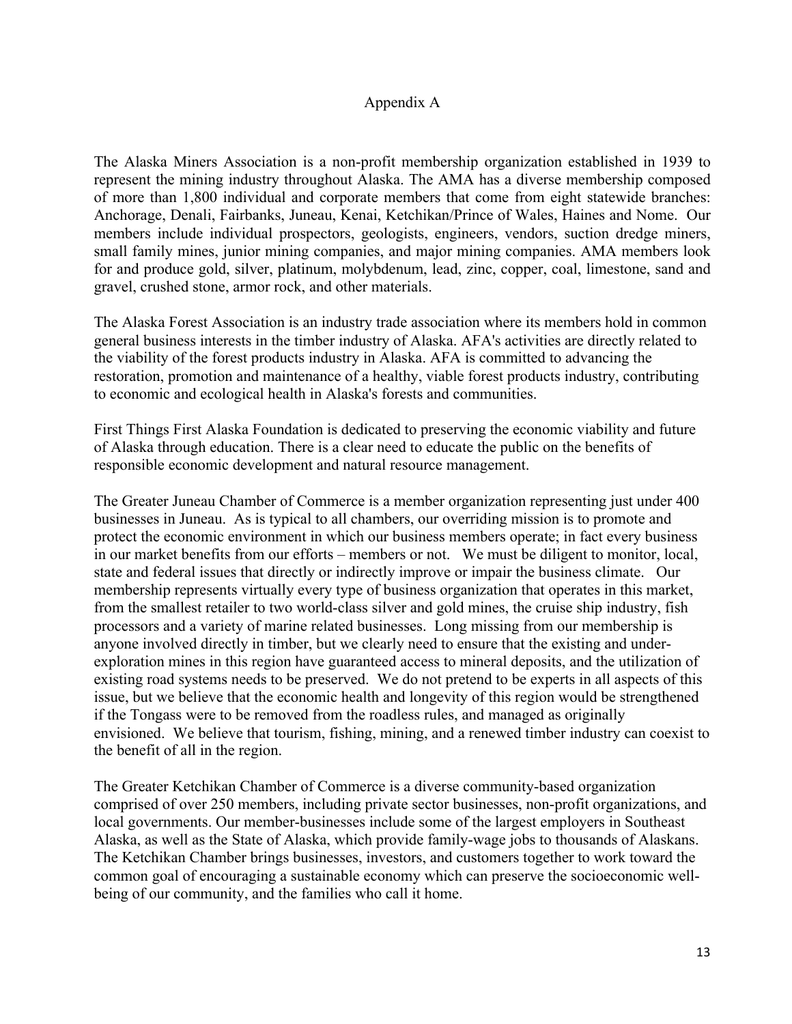#### Appendix A

The Alaska Miners Association is a non-profit membership organization established in 1939 to represent the mining industry throughout Alaska. The AMA has a diverse membership composed of more than 1,800 individual and corporate members that come from eight statewide branches: Anchorage, Denali, Fairbanks, Juneau, Kenai, Ketchikan/Prince of Wales, Haines and Nome. Our members include individual prospectors, geologists, engineers, vendors, suction dredge miners, small family mines, junior mining companies, and major mining companies. AMA members look for and produce gold, silver, platinum, molybdenum, lead, zinc, copper, coal, limestone, sand and gravel, crushed stone, armor rock, and other materials.

The Alaska Forest Association is an industry trade association where its members hold in common general business interests in the timber industry of Alaska. AFA's activities are directly related to the viability of the forest products industry in Alaska. AFA is committed to advancing the restoration, promotion and maintenance of a healthy, viable forest products industry, contributing to economic and ecological health in Alaska's forests and communities.

First Things First Alaska Foundation is dedicated to preserving the economic viability and future of Alaska through education. There is a clear need to educate the public on the benefits of responsible economic development and natural resource management.

The Greater Juneau Chamber of Commerce is a member organization representing just under 400 businesses in Juneau. As is typical to all chambers, our overriding mission is to promote and protect the economic environment in which our business members operate; in fact every business in our market benefits from our efforts – members or not. We must be diligent to monitor, local, state and federal issues that directly or indirectly improve or impair the business climate. Our membership represents virtually every type of business organization that operates in this market, from the smallest retailer to two world-class silver and gold mines, the cruise ship industry, fish processors and a variety of marine related businesses. Long missing from our membership is anyone involved directly in timber, but we clearly need to ensure that the existing and underexploration mines in this region have guaranteed access to mineral deposits, and the utilization of existing road systems needs to be preserved. We do not pretend to be experts in all aspects of this issue, but we believe that the economic health and longevity of this region would be strengthened if the Tongass were to be removed from the roadless rules, and managed as originally envisioned. We believe that tourism, fishing, mining, and a renewed timber industry can coexist to the benefit of all in the region.

The Greater Ketchikan Chamber of Commerce is a diverse community-based organization comprised of over 250 members, including private sector businesses, non-profit organizations, and local governments. Our member-businesses include some of the largest employers in Southeast Alaska, as well as the State of Alaska, which provide family-wage jobs to thousands of Alaskans. The Ketchikan Chamber brings businesses, investors, and customers together to work toward the common goal of encouraging a sustainable economy which can preserve the socioeconomic wellbeing of our community, and the families who call it home.